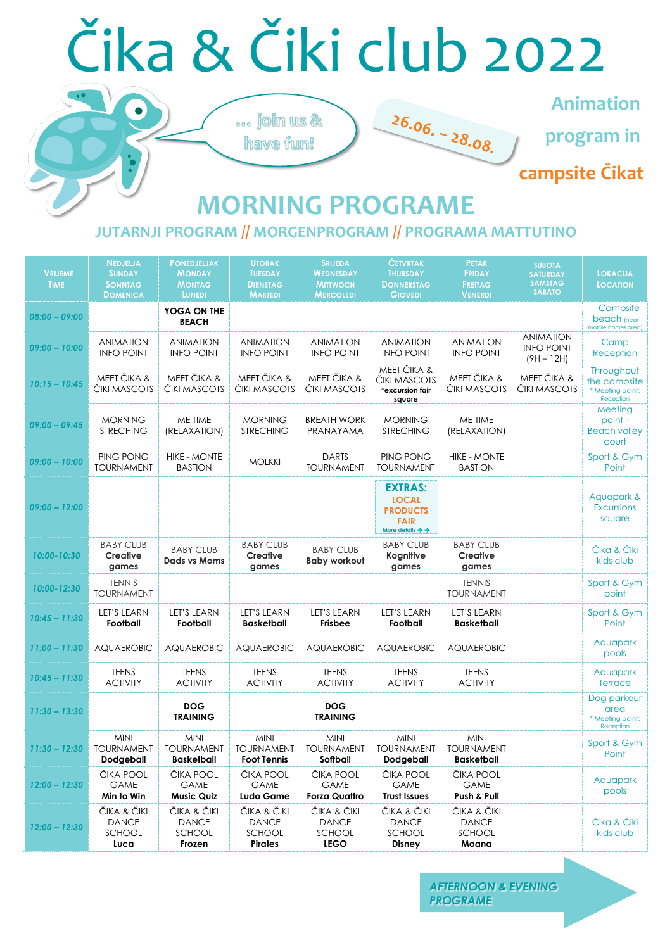| <b>VRIJEME</b><br><b>TIME</b> | <b>NEDJELJA</b><br><b>SUNDAY</b><br><b>SONNTAG</b><br><b>DOMENICA</b> | <b>PONEDJELJAK</b><br><b>MONDAY</b><br><b>MONTAG</b><br><b>LUNEDI</b> | <b>UTORAK</b><br><b>TUESDAY</b><br><b>DIENSTAG</b><br><b>MARTEDI</b> | <b>SRIJEDA</b><br><b>WEDNESDAY</b><br><b>MITTWOCH</b><br><b>MERCOLEDI</b> | <b>ČETVRTAK</b><br><b>THURSDAY</b><br><b>DONNERSTAG</b><br><b>GIOVEDI</b>                                  | <b>PETAK</b><br><b>FRIDAY</b><br><b>FREITAG</b><br><b>VENERDI</b> | <b>SUBOTA</b><br><b>SATURDAY</b><br><b>SAMSTAG</b><br><b>SABATO</b> | <b>LOKACIJA</b><br><b>LOCATION</b>                          |
|-------------------------------|-----------------------------------------------------------------------|-----------------------------------------------------------------------|----------------------------------------------------------------------|---------------------------------------------------------------------------|------------------------------------------------------------------------------------------------------------|-------------------------------------------------------------------|---------------------------------------------------------------------|-------------------------------------------------------------|
| $08:00 - 09:00$               |                                                                       | YOGA ON THE<br><b>BEACH</b>                                           |                                                                      |                                                                           |                                                                                                            |                                                                   |                                                                     | Campsite<br>beach (near<br>mobile homes area)               |
| $09:00 - 10:00$               | <b>ANIMATION</b><br><b>INFO POINT</b>                                 | <b>ANIMATION</b><br><b>INFO POINT</b>                                 | <b>ANIMATION</b><br><b>INFO POINT</b>                                | <b>ANIMATION</b><br><b>INFO POINT</b>                                     | <b>ANIMATION</b><br><b>INFO POINT</b>                                                                      | <b>ANIMATION</b><br><b>INFO POINT</b>                             | <b>ANIMATION</b><br><b>INFO POINT</b><br>$(9H - 12H)$               | Camp<br>Reception                                           |
| $10:15 - 10:45$               | MEET ČIKA &<br>ČIKI MASCOTS                                           | MEET ČIKA &<br>ČIKI MASCOTS                                           | MEET ČIKA &<br>ČIKI MASCOTS                                          | MEET ČIKA &<br>ČIKI MASCOTS                                               | MEET ČIKA &<br>ČIKI MASCOTS<br>*excursion fair<br>square                                                   | MEET ČIKA &<br>ČIKI MASCOTS                                       | MEET ČIKA &<br>ČIKI MASCOTS                                         | Throughout<br>the campsite<br>* Meeting point:<br>Reception |
| $09:00 - 09:45$               | <b>MORNING</b><br><b>STRECHING</b>                                    | ME TIME<br>(RELAXATION)                                               | <b>MORNING</b><br><b>STRECHING</b>                                   | <b>BREATH WORK</b><br>PRANAYAMA                                           | <b>MORNING</b><br><b>STRECHING</b>                                                                         | ME TIME<br>(RELAXATION)                                           |                                                                     | Meeting<br>point -<br><b>Beach volley</b><br>court          |
| $09:00 - 10:00$               | PING PONG<br><b>TOURNAMENT</b>                                        | <b>HIKE - MONTE</b><br><b>BASTION</b>                                 | <b>MOLKKI</b>                                                        | <b>DARTS</b><br><b>TOURNAMENT</b>                                         | <b>PING PONG</b><br><b>TOURNAMENT</b>                                                                      | <b>HIKE - MONTE</b><br><b>BASTION</b>                             |                                                                     | Sport & Gym<br>Point                                        |
| $09:00 - 12:00$               |                                                                       |                                                                       |                                                                      |                                                                           | <b>EXTRAS:</b><br><b>LOCAL</b><br><b>PRODUCTS</b><br><b>FAIR</b><br>More details $\rightarrow \rightarrow$ |                                                                   |                                                                     | Aquapark &<br><b>Excursions</b><br>square                   |
| 10:00-10:30                   | <b>BABY CLUB</b><br><b>Creative</b><br>games                          | <b>BABY CLUB</b><br><b>Dads vs Moms</b>                               | <b>BABY CLUB</b><br><b>Creative</b><br>games                         | <b>BABY CLUB</b><br><b>Baby workout</b>                                   | <b>BABY CLUB</b><br><b>Kognitive</b><br>games                                                              | <b>BABY CLUB</b><br><b>Creative</b><br>games                      |                                                                     | Čika & Čiki<br>kids club                                    |
| 10:00-12:30                   | <b>TENNIS</b><br><b>TOURNAMENT</b>                                    |                                                                       |                                                                      |                                                                           |                                                                                                            | <b>TENNIS</b><br><b>TOURNAMENT</b>                                |                                                                     | Sport & Gym<br>point                                        |
| $10:45 - 11:30$               | LET'S LEARN<br>Football                                               | <b>LET'S LEARN</b><br>Football                                        | LET'S LEARN<br><b>Basketball</b>                                     | <b>LET'S LEARN</b><br><b>Frisbee</b>                                      | <b>LET'S LEARN</b><br>Football                                                                             | <b>LET'S LEARN</b><br><b>Basketball</b>                           |                                                                     | Sport & Gym<br>Point                                        |
| $11:00 - 11:30$               | <b>AQUAEROBIC</b>                                                     | <b>AQUAEROBIC</b>                                                     | <b>AQUAEROBIC</b>                                                    | <b>AQUAEROBIC</b>                                                         | <b>AQUAEROBIC</b>                                                                                          | <b>AQUAEROBIC</b>                                                 |                                                                     | Aquapark<br>pools                                           |
| $10:45 - 11:30$               | <b>TEENS</b><br><b>ACTIVITY</b>                                       | <b>TEENS</b><br><b>ACTIVITY</b>                                       | <b>TEENS</b><br><b>ACTIVITY</b>                                      | <b>TEENS</b><br><b>ACTIVITY</b>                                           | <b>TEENS</b><br><b>ACTIVITY</b>                                                                            | <b>TEENS</b><br><b>ACTIVITY</b>                                   |                                                                     | Aquapark<br>Terrace                                         |
| $11:30 - 13:30$               |                                                                       | <b>DOG</b><br><b>TRAINING</b>                                         |                                                                      | <b>DOG</b><br><b>TRAINING</b>                                             |                                                                                                            |                                                                   |                                                                     | Dog parkour<br>area<br>* Meeting point:<br>Reception        |
| $11:30 - 12:30$               | <b>MINI</b><br><b>TOURNAMENT</b><br><b>Dodgeball</b>                  | <b>MINI</b><br><b>TOURNAMENT</b><br><b>Basketball</b>                 | <b>MINI</b><br><b>TOURNAMENT</b><br><b>Foot Tennis</b>               | <b>MINI</b><br><b>TOURNAMENT</b><br>Softball                              | <b>MINI</b><br><b>TOURNAMENT</b><br><b>Dodgeball</b>                                                       | <b>MINI</b><br><b>TOURNAMENT</b><br><b>Basketball</b>             |                                                                     | Sport & Gym<br>Point                                        |
| $12:00 - 12:30$               | ČIKA POOL<br><b>GAME</b><br>Min to Win                                | ČIKA POOL<br><b>GAME</b><br><b>Music Quiz</b>                         | ČIKA POOL<br><b>GAME</b><br><b>Ludo Game</b>                         | ČIKA POOL<br><b>GAME</b><br><b>Forza Quattro</b>                          | ČIKA POOL<br><b>GAME</b><br><b>Trust Issues</b>                                                            | ČIKA POOL<br><b>GAME</b><br>Push & Pull                           |                                                                     | Aquapark<br>pools                                           |
| $12:00 - 12:30$               | ČIKA & ČIKI<br><b>DANCE</b><br>SCHOOL<br>Luca                         | ČIKA & ČIKI<br><b>DANCE</b><br>SCHOOL<br>Frozen                       | ČIKA & ČIKI<br><b>DANCE</b><br>SCHOOL<br><b>Pirates</b>              | ČIKA & ČIKI<br><b>DANCE</b><br>SCHOOL<br><b>LEGO</b>                      | ČIKA & ČIKI<br><b>DANCE</b><br>SCHOOL<br><b>Disney</b>                                                     | ČIKA & ČIKI<br><b>DANCE</b><br>SCHOOL<br>Moana                    |                                                                     | Čika & Čiki<br>kids club                                    |

# Čika & Čiki club 2022

... join us &

have fun!

# **MORNING PROGRAME**

 $26.06. - 28.08.$ 

#### **JUTARNJI PROGRAM // MORGENPROGRAM // PROGRAMA MATTUTINO**

**campsite Čikat**

### **Animation**

**program in**

*AFTERNOON & EVENING PROGRAME*